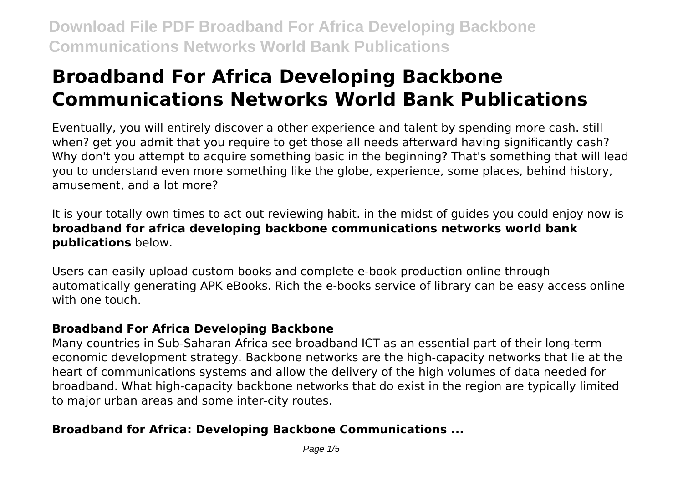# **Broadband For Africa Developing Backbone Communications Networks World Bank Publications**

Eventually, you will entirely discover a other experience and talent by spending more cash. still when? get you admit that you require to get those all needs afterward having significantly cash? Why don't you attempt to acquire something basic in the beginning? That's something that will lead you to understand even more something like the globe, experience, some places, behind history, amusement, and a lot more?

It is your totally own times to act out reviewing habit. in the midst of guides you could enjoy now is **broadband for africa developing backbone communications networks world bank publications** below.

Users can easily upload custom books and complete e-book production online through automatically generating APK eBooks. Rich the e-books service of library can be easy access online with one touch.

# **Broadband For Africa Developing Backbone**

Many countries in Sub-Saharan Africa see broadband ICT as an essential part of their long-term economic development strategy. Backbone networks are the high-capacity networks that lie at the heart of communications systems and allow the delivery of the high volumes of data needed for broadband. What high-capacity backbone networks that do exist in the region are typically limited to major urban areas and some inter-city routes.

# **Broadband for Africa: Developing Backbone Communications ...**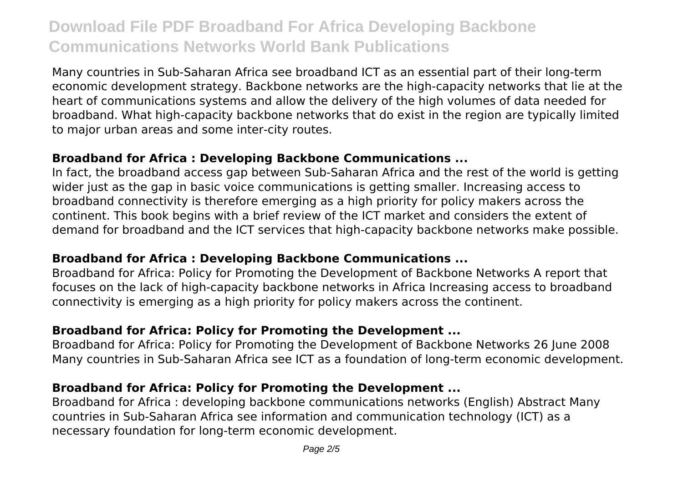Many countries in Sub-Saharan Africa see broadband ICT as an essential part of their long-term economic development strategy. Backbone networks are the high-capacity networks that lie at the heart of communications systems and allow the delivery of the high volumes of data needed for broadband. What high-capacity backbone networks that do exist in the region are typically limited to major urban areas and some inter-city routes.

#### **Broadband for Africa : Developing Backbone Communications ...**

In fact, the broadband access gap between Sub-Saharan Africa and the rest of the world is getting wider just as the gap in basic voice communications is getting smaller. Increasing access to broadband connectivity is therefore emerging as a high priority for policy makers across the continent. This book begins with a brief review of the ICT market and considers the extent of demand for broadband and the ICT services that high-capacity backbone networks make possible.

# **Broadband for Africa : Developing Backbone Communications ...**

Broadband for Africa: Policy for Promoting the Development of Backbone Networks A report that focuses on the lack of high-capacity backbone networks in Africa Increasing access to broadband connectivity is emerging as a high priority for policy makers across the continent.

# **Broadband for Africa: Policy for Promoting the Development ...**

Broadband for Africa: Policy for Promoting the Development of Backbone Networks 26 June 2008 Many countries in Sub-Saharan Africa see ICT as a foundation of long-term economic development.

# **Broadband for Africa: Policy for Promoting the Development ...**

Broadband for Africa : developing backbone communications networks (English) Abstract Many countries in Sub-Saharan Africa see information and communication technology (ICT) as a necessary foundation for long-term economic development.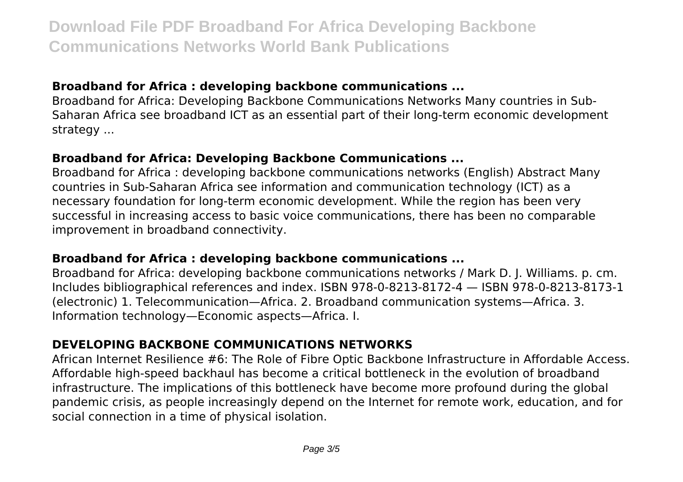# **Broadband for Africa : developing backbone communications ...**

Broadband for Africa: Developing Backbone Communications Networks Many countries in Sub-Saharan Africa see broadband ICT as an essential part of their long-term economic development strategy ...

# **Broadband for Africa: Developing Backbone Communications ...**

Broadband for Africa : developing backbone communications networks (English) Abstract Many countries in Sub-Saharan Africa see information and communication technology (ICT) as a necessary foundation for long-term economic development. While the region has been very successful in increasing access to basic voice communications, there has been no comparable improvement in broadband connectivity.

# **Broadband for Africa : developing backbone communications ...**

Broadband for Africa: developing backbone communications networks / Mark D. J. Williams. p. cm. Includes bibliographical references and index. ISBN 978-0-8213-8172-4 — ISBN 978-0-8213-8173-1 (electronic) 1. Telecommunication—Africa. 2. Broadband communication systems—Africa. 3. Information technology—Economic aspects—Africa. I.

# **DEVELOPING BACKBONE COMMUNICATIONS NETWORKS**

African Internet Resilience #6: The Role of Fibre Optic Backbone Infrastructure in Affordable Access. Affordable high-speed backhaul has become a critical bottleneck in the evolution of broadband infrastructure. The implications of this bottleneck have become more profound during the global pandemic crisis, as people increasingly depend on the Internet for remote work, education, and for social connection in a time of physical isolation.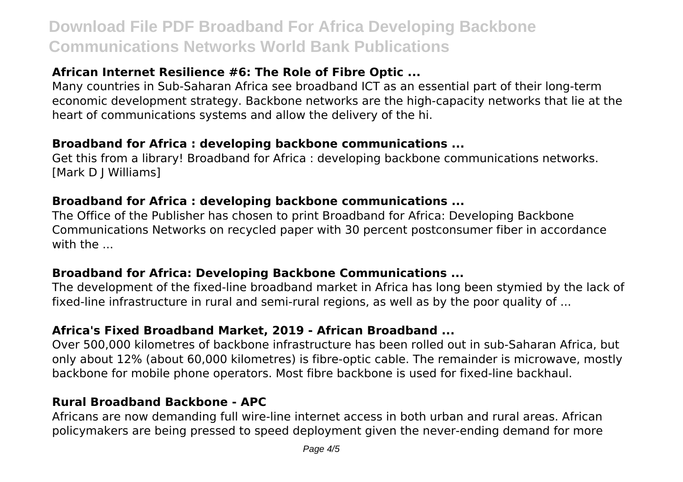# **African Internet Resilience #6: The Role of Fibre Optic ...**

Many countries in Sub-Saharan Africa see broadband ICT as an essential part of their long-term economic development strategy. Backbone networks are the high-capacity networks that lie at the heart of communications systems and allow the delivery of the hi.

#### **Broadband for Africa : developing backbone communications ...**

Get this from a library! Broadband for Africa : developing backbone communications networks. [Mark D J Williams]

#### **Broadband for Africa : developing backbone communications ...**

The Office of the Publisher has chosen to print Broadband for Africa: Developing Backbone Communications Networks on recycled paper with 30 percent postconsumer fiber in accordance with the ...

# **Broadband for Africa: Developing Backbone Communications ...**

The development of the fixed-line broadband market in Africa has long been stymied by the lack of fixed-line infrastructure in rural and semi-rural regions, as well as by the poor quality of ...

# **Africa's Fixed Broadband Market, 2019 - African Broadband ...**

Over 500,000 kilometres of backbone infrastructure has been rolled out in sub-Saharan Africa, but only about 12% (about 60,000 kilometres) is fibre-optic cable. The remainder is microwave, mostly backbone for mobile phone operators. Most fibre backbone is used for fixed-line backhaul.

#### **Rural Broadband Backbone - APC**

Africans are now demanding full wire-line internet access in both urban and rural areas. African policymakers are being pressed to speed deployment given the never-ending demand for more